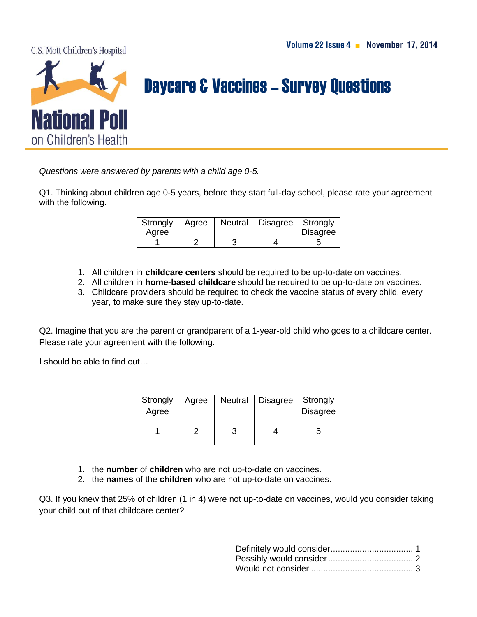C.S. Mott Children's Hospital



## **Daycare & Vaccines - Survey Questions**

*Questions were answered by parents with a child age 0-5.*

Q1. Thinking about children age 0-5 years, before they start full-day school, please rate your agreement with the following.

| Strongly<br>Agree | Agree | Neutral | Disagree   Strongly | <b>Disagree</b> |
|-------------------|-------|---------|---------------------|-----------------|
|                   |       |         |                     |                 |

- 1. All children in **childcare centers** should be required to be up-to-date on vaccines.
- 2. All children in **home-based childcare** should be required to be up-to-date on vaccines.
- 3. Childcare providers should be required to check the vaccine status of every child, every year, to make sure they stay up-to-date.

Q2. Imagine that you are the parent or grandparent of a 1-year-old child who goes to a childcare center. Please rate your agreement with the following.

I should be able to find out…

| Strongly<br>Agree | Agree | <b>Neutral</b> | Disagree | Strongly<br><b>Disagree</b> |
|-------------------|-------|----------------|----------|-----------------------------|
|                   |       |                |          | G                           |

- 1. the **number** of **children** who are not up-to-date on vaccines.
- 2. the **names** of the **children** who are not up-to-date on vaccines.

Q3. If you knew that 25% of children (1 in 4) were not up-to-date on vaccines, would you consider taking your child out of that childcare center?